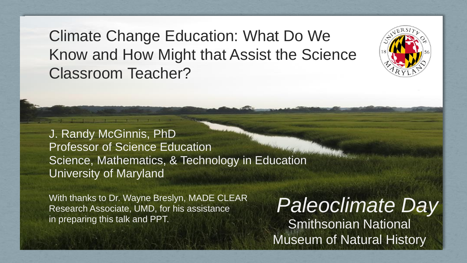Climate Change Education: What Do We Know and How Might that Assist the Science Classroom Teacher?



J. Randy McGinnis, PhD Professor of Science Education Science, Mathematics, & Technology in Education University of Maryland

With thanks to Dr. Wayne Breslyn, MADE CLEAR Research Associate, UMD, for his assistance

in preparing this talk and PPT. Smithsonian National Museum of Natural History *Paleoclimate Day*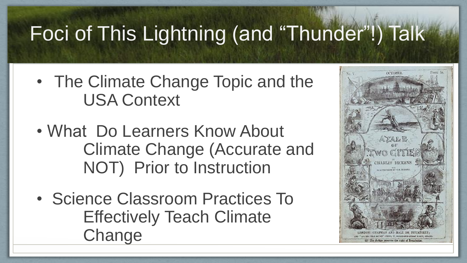# Foci of This Lightning (and "Thunder"!) Talk

- The Climate Change Topic and the USA Context
- What Do Learners Know About Climate Change (Accurate and NOT) Prior to Instruction
- Science Classroom Practices To Effectively Teach Climate **Change**

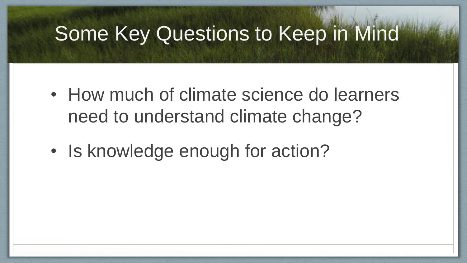## Some Key Questions to Keep in Mind

- How much of climate science do learners need to understand climate change?
- Is knowledge enough for action?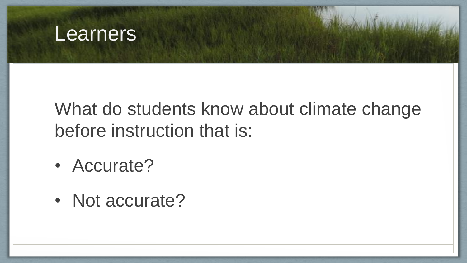

## What do students know about climate change before instruction that is:

- Accurate?
- Not accurate?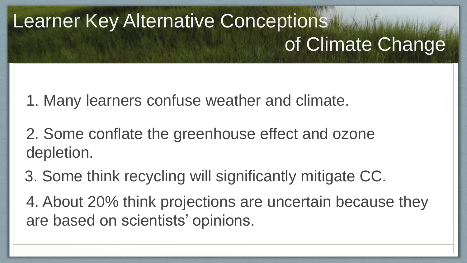# Learner Key Alternative Conceptions of Climate Change

1. Many learners confuse weather and climate.

2. Some conflate the greenhouse effect and ozone depletion.

3. Some think recycling will significantly mitigate CC.

4. About 20% think projections are uncertain because they are based on scientists' opinions.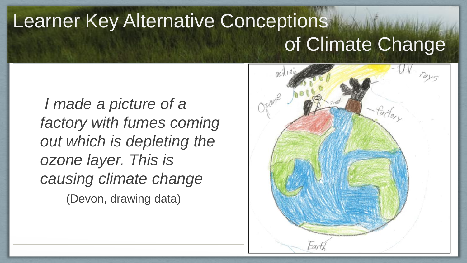## **Learner Key Alternative Conceptions** of Climate Change

*I made a picture of a factory with fumes coming out which is depleting the ozone layer. This is causing climate change* (Devon, drawing data)

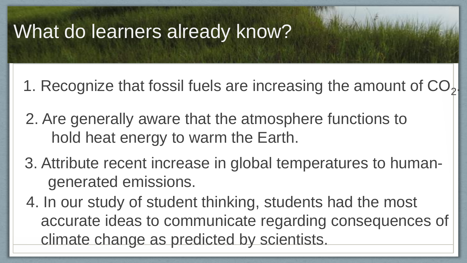### What do learners already know?

- 1. Recognize that fossil fuels are increasing the amount of  $CO_2$ .
- 2. Are generally aware that the atmosphere functions to hold heat energy to warm the Earth.
- 3. Attribute recent increase in global temperatures to humangenerated emissions.
- 4. In our study of student thinking, students had the most accurate ideas to communicate regarding consequences of climate change as predicted by scientists.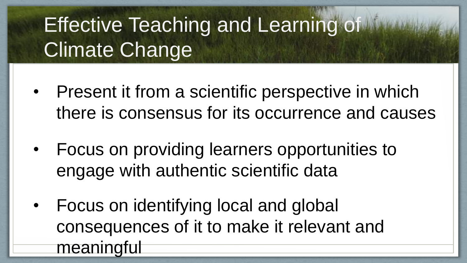# Effective Teaching and Learning of Climate Change

- Present it from a scientific perspective in which there is consensus for its occurrence and causes
- Focus on providing learners opportunities to engage with authentic scientific data
- Focus on identifying local and global consequences of it to make it relevant and meaningful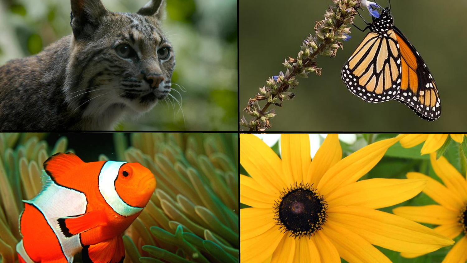